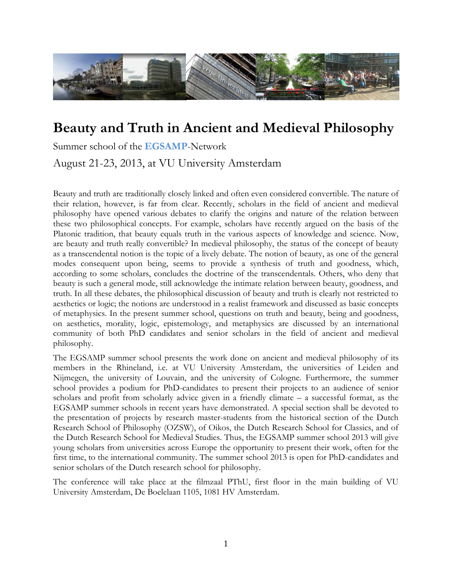

# **Beauty and Truth in Ancient and Medieval Philosophy**

Summer school of the **EGSAMP**-Network

August 21-23, 2013, at VU University Amsterdam

Beauty and truth are traditionally closely linked and often even considered convertible. The nature of their relation, however, is far from clear. Recently, scholars in the field of ancient and medieval philosophy have opened various debates to clarify the origins and nature of the relation between these two philosophical concepts. For example, scholars have recently argued on the basis of the Platonic tradition, that beauty equals truth in the various aspects of knowledge and science. Now, are beauty and truth really convertible? In medieval philosophy, the status of the concept of beauty as a transcendental notion is the topic of a lively debate. The notion of beauty, as one of the general modes consequent upon being, seems to provide a synthesis of truth and goodness, which, according to some scholars, concludes the doctrine of the transcendentals. Others, who deny that beauty is such a general mode, still acknowledge the intimate relation between beauty, goodness, and truth. In all these debates, the philosophical discussion of beauty and truth is clearly not restricted to aesthetics or logic; the notions are understood in a realist framework and discussed as basic concepts of metaphysics. In the present summer school, questions on truth and beauty, being and goodness, on aesthetics, morality, logic, epistemology, and metaphysics are discussed by an international community of both PhD candidates and senior scholars in the field of ancient and medieval philosophy.

The EGSAMP summer school presents the work done on ancient and medieval philosophy of its members in the Rhineland, i.e. at VU University Amsterdam, the universities of Leiden and Nijmegen, the university of Louvain, and the university of Cologne. Furthermore, the summer school provides a podium for PhD-candidates to present their projects to an audience of senior scholars and profit from scholarly advice given in a friendly climate – a successful format, as the EGSAMP summer schools in recent years have demonstrated. A special section shall be devoted to the presentation of projects by research master-students from the historical section of the Dutch Research School of Philosophy (OZSW), of Oikos, the Dutch Research School for Classics, and of the Dutch Research School for Medieval Studies. Thus, the EGSAMP summer school 2013 will give young scholars from universities across Europe the opportunity to present their work, often for the first time, to the international community. The summer school 2013 is open for PhD-candidates and senior scholars of the Dutch research school for philosophy.

The conference will take place at the filmzaal PThU, first floor in the main building of VU University Amsterdam, De Boelelaan 1105, 1081 HV Amsterdam.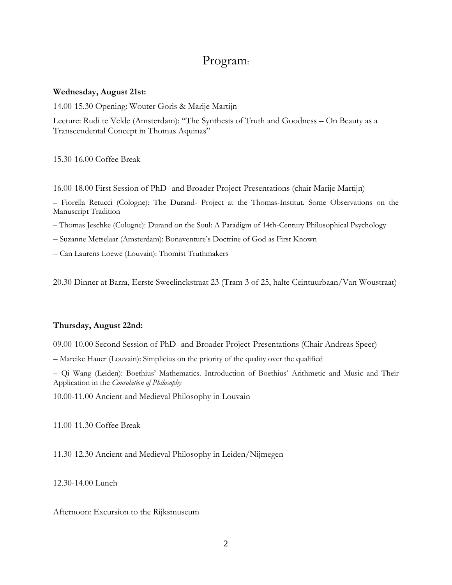# Program:

#### **Wednesday, August 21st:**

14.00-15.30 Opening: Wouter Goris & Marije Martijn

Lecture: Rudi te Velde (Amsterdam): "The Synthesis of Truth and Goodness – On Beauty as a Transcendental Concept in Thomas Aquinas"

15.30-16.00 Coffee Break

16.00-18.00 First Session of PhD- and Broader Project-Presentations (chair Marije Martijn)

– Fiorella Retucci (Cologne): The Durand- Project at the Thomas-Institut. Some Observations on the Manuscript Tradition

– Thomas Jeschke (Cologne): Durand on the Soul: A Paradigm of 14th-Century Philosophical Psychology

– Suzanne Metselaar (Amsterdam): Bonaventure's Doctrine of God as First Known

– Can Laurens Loewe (Louvain): Thomist Truthmakers

20.30 Dinner at Barra, Eerste Sweelinckstraat 23 (Tram 3 of 25, halte Ceintuurbaan/Van Woustraat)

# **Thursday, August 22nd:**

09.00-10.00 Second Session of PhD- and Broader Project-Presentations (Chair Andreas Speer)

– Mareike Hauer (Louvain): Simplicius on the priority of the quality over the qualified

– Qi Wang (Leiden): Boethius' Mathematics. Introduction of Boethius' Arithmetic and Music and Their Application in the *Consolation of Philosophy*

10.00-11.00 Ancient and Medieval Philosophy in Louvain

11.00-11.30 Coffee Break

11.30-12.30 Ancient and Medieval Philosophy in Leiden/Nijmegen

12.30-14.00 Lunch

Afternoon: Excursion to the Rijksmuseum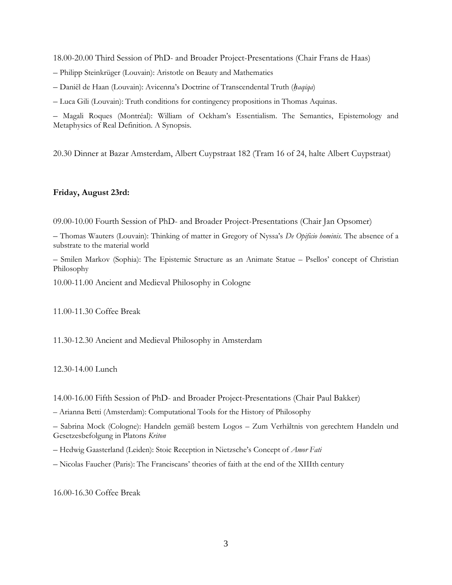18.00-20.00 Third Session of PhD- and Broader Project-Presentations (Chair Frans de Haas)

- Philipp Steinkrüger (Louvain): Aristotle on Beauty and Mathematics
- Daniël de Haan (Louvain): Avicenna's Doctrine of Transcendental Truth (*ḥaqīqa*)
- Luca Gili (Louvain): Truth conditions for contingency propositions in Thomas Aquinas.

– Magali Roques (Montréal): William of Ockham's Essentialism. The Semantics, Epistemology and Metaphysics of Real Definition. A Synopsis.

20.30 Dinner at Bazar Amsterdam, Albert Cuypstraat 182 (Tram 16 of 24, halte Albert Cuypstraat)

# **Friday, August 23rd:**

09.00-10.00 Fourth Session of PhD- and Broader Project-Presentations (Chair Jan Opsomer)

– Thomas Wauters (Louvain): Thinking of matter in Gregory of Nyssa's *De Opificio hominis.* The absence of a substrate to the material world

– Smilen Markov (Sophia): The Epistemic Structure as an Animate Statue – Psellos' concept of Christian Philosophy

10.00-11.00 Ancient and Medieval Philosophy in Cologne

11.00-11.30 Coffee Break

11.30-12.30 Ancient and Medieval Philosophy in Amsterdam

12.30-14.00 Lunch

14.00-16.00 Fifth Session of PhD- and Broader Project-Presentations (Chair Paul Bakker)

– Arianna Betti (Amsterdam): Computational Tools for the History of Philosophy

– Sabrina Mock (Cologne): Handeln gemäß bestem Logos – Zum Verhältnis von gerechtem Handeln und Gesetzesbefolgung in Platons *Kriton*

– Hedwig Gaasterland (Leiden): Stoic Reception in Nietzsche's Concept of *Amor Fati*

– Nicolas Faucher (Paris): The Franciscans' theories of faith at the end of the XIIIth century

16.00-16.30 Coffee Break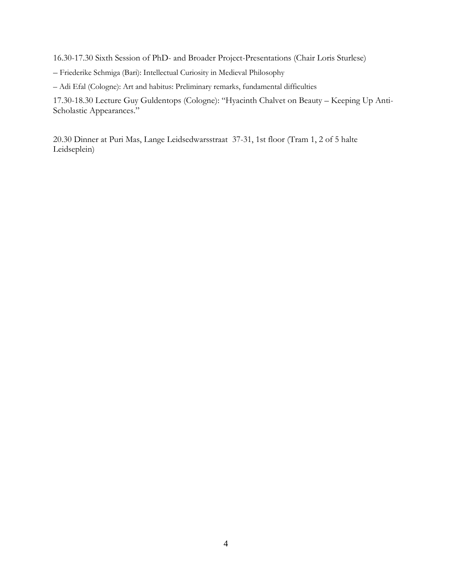16.30-17.30 Sixth Session of PhD- and Broader Project-Presentations (Chair Loris Sturlese)

– Friederike Schmiga (Bari): Intellectual Curiosity in Medieval Philosophy

– Adi Efal (Cologne): Art and habitus: Preliminary remarks, fundamental difficulties

17.30-18.30 Lecture Guy Guldentops (Cologne): "Hyacinth Chalvet on Beauty – Keeping Up Anti-Scholastic Appearances."

20.30 Dinner at Puri Mas, Lange Leidsedwarsstraat 37-31, 1st floor (Tram 1, 2 of 5 halte Leidseplein)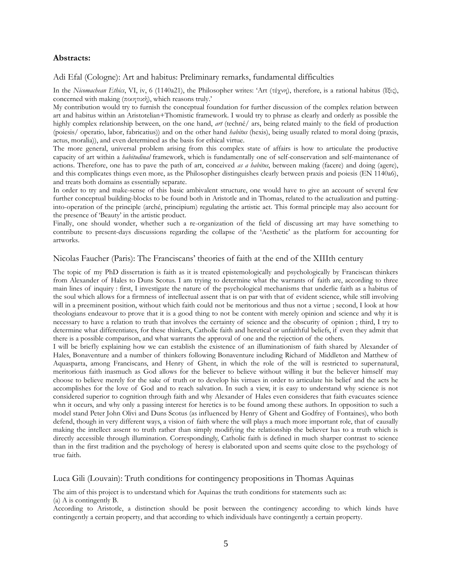#### **Abstracts:**

#### Adi Efal (Cologne): Art and habitus: Preliminary remarks, fundamental difficulties

In the *Nicomachean Ethics*, VI, iv, 6 (1140a21), the Philosopher writes: 'Art (τέχνη), therefore, is a rational habitus (ἕξις), concerned with making (ποιητική), which reasons truly.'

My contribution would try to furnish the conceptual foundation for further discussion of the complex relation between art and habitus within an Aristotelian+Thomistic framework. I would try to phrase as clearly and orderly as possible the highly complex relationship between, on the one hand, *art* (techné/ ars, being related mainly to the field of production (poiesis/ operatio, labor, fabricatius)) and on the other hand *habitus* (hexis), being usually related to moral doing (praxis, actus, moralia)), and even determined as the basis for ethical virtue.

The more general, universal problem arising from this complex state of affairs is how to articulate the productive capacity of art within a *habitudinal* framework, which is fundamentally one of self-conservation and self-maintenance of actions. Therefore, one has to pave the path of art, conceived *as a habitus*, between making (facere) and doing (agere), and this complicates things even more, as the Philosopher distinguishes clearly between praxis and poiesis (EN 1140a6), and treats both domains as essentially separate.

In order to try and make-sense of this basic ambivalent structure, one would have to give an account of several few further conceptual building-blocks to be found both in Aristotle and in Thomas, related to the actualization and puttinginto-operation of the principle (arché, principium) regulating the artistic act. This formal principle may also account for the presence of 'Beauty' in the artistic product.

Finally, one should wonder, whether such a re-organization of the field of discussing art may have something to contribute to present-days discussions regarding the collapse of the 'Aesthetic' as the platform for accounting for artworks.

#### Nicolas Faucher (Paris): The Franciscans' theories of faith at the end of the XIIIth century

The topic of my PhD dissertation is faith as it is treated epistemologically and psychologically by Franciscan thinkers from Alexander of Hales to Duns Scotus. I am trying to determine what the warrants of faith are, according to three main lines of inquiry : first, I investigate the nature of the psychological mechanisms that underlie faith as a habitus of the soul which allows for a firmness of intellectual assent that is on par with that of evident science, while still involving will in a preeminent position, without which faith could not be meritorious and thus not a virtue ; second, I look at how theologians endeavour to prove that it is a good thing to not be content with merely opinion and science and why it is necessary to have a relation to truth that involves the certainty of science and the obscurity of opinion ; third, I try to determine what differentiates, for these thinkers, Catholic faith and heretical or unfaithful beliefs, if even they admit that there is a possible comparison, and what warrants the approval of one and the rejection of the others.

I will be briefly explaining how we can establish the existence of an illuminationism of faith shared by Alexander of Hales, Bonaventure and a number of thinkers following Bonaventure including Richard of Middleton and Matthew of Aquasparta, among Franciscans, and Henry of Ghent, in which the role of the will is restricted to supernatural, meritorious faith inasmuch as God allows for the believer to believe without willing it but the believer himself may choose to believe merely for the sake of truth or to develop his virtues in order to articulate his belief and the acts he accomplishes for the love of God and to reach salvation. In such a view, it is easy to understand why science is not considered superior to cognition through faith and why Alexander of Hales even consideres that faith evacuates science whn it occurs, and why only a passing interest for heretics is to be found among these authors. In opposition to such a model stand Peter John Olivi and Duns Scotus (as influenced by Henry of Ghent and Godfrey of Fontaines), who both defend, though in very different ways, a vision of faith where the will plays a much more important role, that of causally making the intellect assent to truth rather than simply modifying the relationship the believer has to a truth which is directly accessible through illumination. Correspondingly, Catholic faith is defined in much sharper contrast to science than in the first tradition and the psychology of heresy is elaborated upon and seems quite close to the psychology of true faith.

#### Luca Gili (Louvain): Truth conditions for contingency propositions in Thomas Aquinas

The aim of this project is to understand which for Aquinas the truth conditions for statements such as: (a) A is contingently B.

According to Aristotle, a distinction should be posit between the contingency according to which kinds have contingently a certain property, and that according to which individuals have contingently a certain property.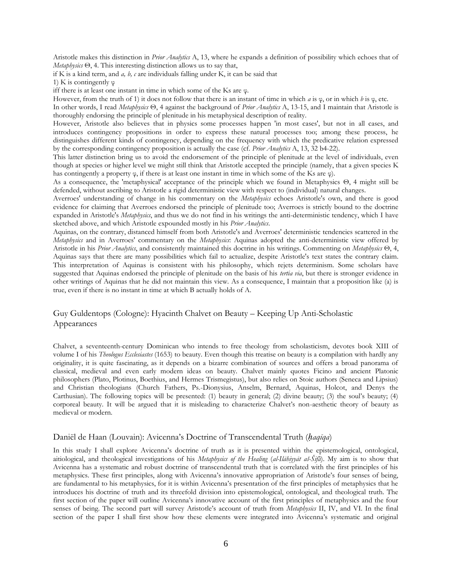Aristotle makes this distinction in *Prior Analytics* A, 13, where he expands a definition of possibility which echoes that of *Metaphysics* Θ, 4. This interesting distinction allows us to say that,

if K is a kind term, and *a, b, c* are individuals falling under K, it can be said that

1) K is contingently  $\varphi$ 

iff there is at least one instant in time in which some of the Ks are φ.

However, from the truth of 1) it does not follow that there is an instant of time in which *a* is φ, or in which *b* is φ, etc.

In other words, I read *Metaphysics* Θ, 4 against the background of *Prior Analytics* A, 13-15, and I maintain that Aristotle is thoroughly endorsing the principle of plenitude in his metaphysical description of reality.

However, Aristotle also believes that in physics some processes happen 'in most cases', but not in all cases, and introduces contingency propositions in order to express these natural processes too; among these process, he distinguishes different kinds of contingency, depending on the frequency with which the predicative relation expressed by the corresponding contingency proposition is actually the case (cf. *Prior Analytics* A, 13, 32 b4-22).

This latter distinction bring us to avoid the endorsement of the principle of plenitude at the level of individuals, even though at species or higher level we might still think that Aristotle accepted the principle (namely, that a given species K has contingently a property φ, if there is at least one instant in time in which some of the Ks are φ).

As a consequence, the 'metaphysical' acceptance of the principle which we found in Metaphysics Θ, 4 might still be defended, without ascribing to Aristotle a rigid deterministic view with respect to (individual) natural changes.

Averroes' understanding of change in his commentary on the *Metaphysics* echoes Aristotle's own, and there is good evidence for claiming that Averroes endorsed the principle of plenitude too; Averroes is strictly bound to the doctrine expanded in Aristotle's *Metaphysics*, and thus we do not find in his writings the anti-deterministic tendency, which I have sketched above, and which Aristotle expounded mostly in his *Prior Analytics*.

Aquinas, on the contrary, distanced himself from both Aristotle's and Averroes' deterministic tendencies scattered in the *Metaphysics* and in Averroes' commentary on the *Metaphysics*: Aquinas adopted the anti-deterministic view offered by Aristotle in his *Prior Analytics*, and consistently maintained this doctrine in his writings. Commenting on *Metaphysics* Θ, 4, Aquinas says that there are many possibilities which fail to actualize, despite Aristotle's text states the contrary claim. This interpretation of Aquinas is consistent with his philosophy, which rejets determinism. Some scholars have suggested that Aquinas endorsed the principle of plenitude on the basis of his *tertia via*, but there is stronger evidence in other writings of Aquinas that he did not maintain this view. As a consequence, I maintain that a proposition like (a) is true, even if there is no instant in time at which B actually holds of A.

# Guy Guldentops (Cologne): Hyacinth Chalvet on Beauty – Keeping Up Anti-Scholastic Appearances

Chalvet, a seventeenth-century Dominican who intends to free theology from scholasticism, devotes book XIII of volume I of his *Theologus Ecclesiastes* (1653) to beauty. Even though this treatise on beauty is a compilation with hardly any originality, it is quite fascinating, as it depends on a bizarre combination of sources and offers a broad panorama of classical, medieval and even early modern ideas on beauty. Chalvet mainly quotes Ficino and ancient Platonic philosophers (Plato, Plotinus, Boethius, and Hermes Trismegistus), but also relies on Stoic authors (Seneca and Lipsius) and Christian theologians (Church Fathers, Ps.-Dionysius, Anselm, Bernard, Aquinas, Holcot, and Denys the Carthusian). The following topics will be presented: (1) beauty in general; (2) divine beauty; (3) the soul's beauty; (4) corporeal beauty. It will be argued that it is misleading to characterize Chalvet's non-aesthetic theory of beauty as medieval or modern.

#### Daniël de Haan (Louvain): Avicenna's Doctrine of Transcendental Truth (*ḥaqīqa*)

In this study I shall explore Avicenna's doctrine of truth as it is presented within the epistemological, ontological, aitiological, and theological investigations of his *Metaphysics of the Healing* (*al-Ilahiyyat aš-Šifa*). My aim is to show that Avicenna has a systematic and robust doctrine of transcendental truth that is correlated with the first principles of his metaphysics. These first principles, along with Avicenna's innovative appropriation of Aristotle's four senses of being, are fundamental to his metaphysics, for it is within Avicenna's presentation of the first principles of metaphysics that he introduces his doctrine of truth and its threefold division into epistemological, ontological, and theological truth. The first section of the paper will outline Avicenna's innovative account of the first principles of metaphysics and the four senses of being. The second part will survey Aristotle's account of truth from *Metaphysics* II, IV, and VI. In the final section of the paper I shall first show how these elements were integrated into Avicenna's systematic and original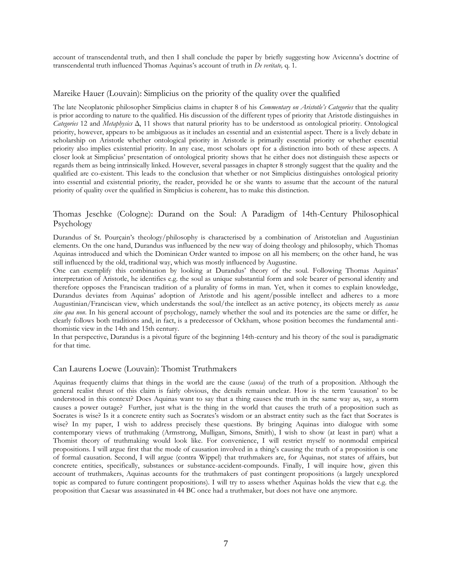account of transcendental truth, and then I shall conclude the paper by briefly suggesting how Avicenna's doctrine of transcendental truth influenced Thomas Aquinas's account of truth in *De veritate,* q. 1.

#### Mareike Hauer (Louvain): Simplicius on the priority of the quality over the qualified

The late Neoplatonic philosopher Simplicius claims in chapter 8 of his *Commentary on Aristotle's Categories* that the quality is prior according to nature to the qualified. His discussion of the different types of priority that Aristotle distinguishes in *Categories* 12 and *Metaphysics* Δ, 11 shows that natural priority has to be understood as ontological priority. Ontological priority, however, appears to be ambiguous as it includes an essential and an existential aspect. There is a lively debate in scholarship on Aristotle whether ontological priority in Aristotle is primarily essential priority or whether essential priority also implies existential priority. In any case, most scholars opt for a distinction into both of these aspects. A closer look at Simplicius' presentation of ontological priority shows that he either does not distinguish these aspects or regards them as being intrinsically linked. However, several passages in chapter 8 strongly suggest that the quality and the qualified are co-existent. This leads to the conclusion that whether or not Simplicius distinguishes ontological priority into essential and existential priority, the reader, provided he or she wants to assume that the account of the natural priority of quality over the qualified in Simplicius is coherent, has to make this distinction.

#### Thomas Jeschke (Cologne): Durand on the Soul: A Paradigm of 14th-Century Philosophical Psychology

Durandus of St. Pourçain's theology/philosophy is characterised by a combination of Aristotelian and Augustinian elements. On the one hand, Durandus was influenced by the new way of doing theology and philosophy, which Thomas Aquinas introduced and which the Dominican Order wanted to impose on all his members; on the other hand, he was still influenced by the old, traditional way, which was mostly influenced by Augustine.

One can exemplify this combination by looking at Durandus' theory of the soul. Following Thomas Aquinas' interpretation of Aristotle, he identifies e.g. the soul as unique substantial form and sole bearer of personal identity and therefore opposes the Franciscan tradition of a plurality of forms in man. Yet, when it comes to explain knowledge, Durandus deviates from Aquinas' adoption of Aristotle and his agent/possible intellect and adheres to a more Augustinian/Franciscan view, which understands the soul/the intellect as an active potency, its objects merely as *causa sine qua non*. In his general account of psychology, namely whether the soul and its potencies are the same or differ, he clearly follows both traditions and, in fact, is a predecessor of Ockham, whose position becomes the fundamental antithomistic view in the 14th and 15th century.

In that perspective, Durandus is a pivotal figure of the beginning 14th-century and his theory of the soul is paradigmatic for that time.

#### Can Laurens Loewe (Louvain): Thomist Truthmakers

Aquinas frequently claims that things in the world are the cause (*causa*) of the truth of a proposition. Although the general realist thrust of this claim is fairly obvious, the details remain unclear. How is the term 'causation' to be understood in this context? Does Aquinas want to say that a thing causes the truth in the same way as, say, a storm causes a power outage? Further, just what is the thing in the world that causes the truth of a proposition such as Socrates is wise? Is it a concrete entity such as Socrates's wisdom or an abstract entity such as the fact that Socrates is wise? In my paper, I wish to address precisely these questions. By bringing Aquinas into dialogue with some contemporary views of truthmaking (Armstrong, Mulligan, Simons, Smith), I wish to show (at least in part) what a Thomist theory of truthmaking would look like. For convenience, I will restrict myself to nonmodal empirical propositions. I will argue first that the mode of causation involved in a thing's causing the truth of a proposition is one of formal causation. Second, I will argue (contra Wippel) that truthmakers are, for Aquinas, not states of affairs, but concrete entities, specifically, substances or substance-accident-compounds. Finally, I will inquire how, given this account of truthmakers, Aquinas accounts for the truthmakers of past contingent propositions (a largely unexplored topic as compared to future contingent propositions). I will try to assess whether Aquinas holds the view that e.g. the proposition that Caesar was assassinated in 44 BC once had a truthmaker, but does not have one anymore.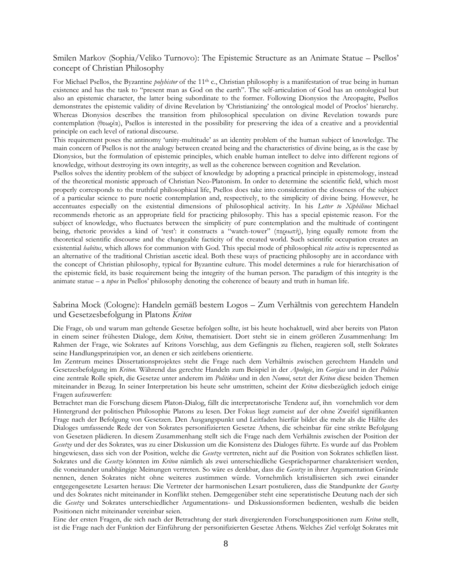#### Smilen Markov (Sophia/Veliko Turnovo): The Epistemic Structure as an Animate Statue – Psellos' concept of Christian Philosophy

For Michael Psellos, the Byzantine *polyhistor* of the 11<sup>th</sup> c., Christian philosophy is a manifestation of true being in human existence and has the task to "present man as God on the earth". The self-articulation of God has an ontological but also an epistemic character, the latter being subordinate to the former. Following Dionysios the Areopagite, Psellos demonstrates the epistemic validity of divine Revelation by 'Christianizing' the ontological model of Proclos' hierarchy. Whereas Dionysios describes the transition from philosophical speculation on divine Revelation towards pure contemplation (θεωρία), Psellos is interested in the possibility for preserving the idea of a creative and a providential principle on each level of rational discourse.

This requirement poses the antinomy 'unity-multitude' as an identity problem of the human subject of knowledge. The main concern of Psellos is not the analogy between created being and the characteristics of divine being, as is the case by Dionysios, but the formulation of epistemic principles, which enable human intellect to delve into different regions of knowledge, without destroying its own integrity, as well as the coherence between cognition and Revelation.

Psellos solves the identity problem of the subject of knowledge by adopting a practical principle in epistemology, instead of the theoretical monistic approach of Christian Neo-Platonism. In order to determine the scientific field, which most properly corresponds to the truthful philosophical life, Psellos does take into consideration the closeness of the subject of a particular science to pure noetic contemplation and, respectively, to the simplicity of divine being. However, he accentuates especially on the existential dimensions of philosophical activity. In his *Letter to Xiphilinos* Michael recommends rhetoric as an appropriate field for practicing philosophy. This has a special epistemic reason. For the subject of knowledge, who fluctuates between the simplicity of pure contemplation and the multitude of contingent being, rhetoric provides a kind of 'rest': it constructs a "watch-tower" (περιωπή), lying equally remote from the theoretical scientific discourse and the changeable facticity of the created world. Such scientific occupation creates an existential *habitus*, which allows for communion with God. This special mode of philosophical *vita activa* is represented as an alternative of the traditional Christian ascetic ideal. Both these ways of practicing philosophy are in accordance with the concept of Christian philosophy, typical for Byzantine culture. This model determines a rule for hierarchisation of the epistemic field, its basic requirement being the integrity of the human person. The paradigm of this integrity is the animate statue – a *topos* in Psellos' philosophy denoting the coherence of beauty and truth in human life.

#### Sabrina Mock (Cologne): Handeln gemäß bestem Logos – Zum Verhältnis von gerechtem Handeln und Gesetzesbefolgung in Platons *Kriton*

Die Frage, ob und warum man geltende Gesetze befolgen sollte, ist bis heute hochaktuell, wird aber bereits von Platon in einem seiner frühesten Dialoge, dem *Kriton*, thematisiert. Dort steht sie in einem größeren Zusammenhang: Im Rahmen der Frage, wie Sokrates auf Kritons Vorschlag, aus dem Gefängnis zu fliehen, reagieren soll, stellt Sokrates seine Handlungsprinzipien vor, an denen er sich zeitlebens orientierte.

Im Zentrum meines Dissertationsprojektes steht die Frage nach dem Verhältnis zwischen gerechtem Handeln und Gesetzesbefolgung im *Kriton.* Während das gerechte Handeln zum Beispiel in der *Apologie*, im *Gorgias* und in der *Politeia* eine zentrale Rolle spielt, die Gesetze unter anderem im *Politikos* und in den *Nomoi*, setzt der *Kriton* diese beiden Themen miteinander in Bezug. In seiner Interpretation bis heute sehr umstritten, scheint der *Kriton* diesbezüglich jedoch einige Fragen aufzuwerfen:

Betrachtet man die Forschung diesem Platon-Dialog, fällt die interpretatorische Tendenz auf, ihn vornehmlich vor dem Hintergrund der politischen Philosophie Platons zu lesen. Der Fokus liegt zumeist auf der ohne Zweifel signifikanten Frage nach der Befolgung von Gesetzen. Den Ausgangspunkt und Leitfaden hierfür bildet die mehr als die Hälfte des Dialoges umfassende Rede der von Sokrates personifizierten Gesetze Athens, die scheinbar für eine strikte Befolgung von Gesetzen plädieren. In diesem Zusammenhang stellt sich die Frage nach dem Verhältnis zwischen der Position der *Gesetze* und der des Sokrates, was zu einer Diskussion um die Konsistenz des Dialoges führte. Es wurde auf das Problem hingewiesen, dass sich von der Position, welche die *Gesetze* vertreten, nicht auf die Position von Sokrates schließen lässt. Sokrates und die *Gesetze* könnten im *Kriton* nämlich als zwei unterschiedliche Gesprächspartner charakterisiert werden, die voneinander unabhängige Meinungen vertreten. So wäre es denkbar, dass die *Gesetze* in ihrer Argumentation Gründe nennen, denen Sokrates nicht ohne weiteres zustimmen würde. Vornehmlich kristallisierten sich zwei einander entgegengesetzte Lesarten heraus: Die Vertreter der harmonischen Lesart postulieren, dass die Standpunkte der *Gesetze* und des Sokrates nicht miteinander in Konflikt stehen. Demgegenüber steht eine seperatistische Deutung nach der sich die *Gesetze* und Sokrates unterschiedlicher Argumentations- und Diskussionsformen bedienten, weshalb die beiden Positionen nicht miteinander vereinbar seien.

Eine der ersten Fragen, die sich nach der Betrachtung der stark divergierenden Forschungspositionen zum *Kriton* stellt, ist die Frage nach der Funktion der Einführung der personifizierten Gesetze Athens. Welches Ziel verfolgt Sokrates mit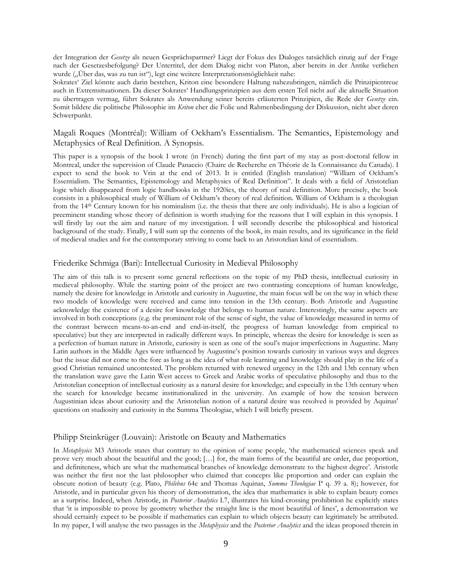der Integration der *Gesetze* als neuen Gesprächspartner? Liegt der Fokus des Dialoges tatsächlich einzig auf der Frage nach der Gesetzesbefolgung? Der Untertitel, der dem Dialog nicht von Platon, aber bereits in der Antike verliehen wurde ("Über das, was zu tun ist"), legt eine weitere Interpretationsmöglichkeit nahe:

Sokrates' Ziel könnte auch darin bestehen, Kriton eine besondere Haltung nahezubringen, nämlich die Prinzipientreue auch in Extremsituationen. Da dieser Sokrates' Handlungsprinzipien aus dem ersten Teil nicht auf die aktuelle Situation zu übertragen vermag, führt Sokrates als Anwendung seiner bereits erläuterten Prinzipien, die Rede der *Gesetze* ein. Somit bildete die politische Philosophie im *Kriton* eher die Folie und Rahmenbedingung der Diskussion, nicht aber deren Schwerpunkt.

#### Magali Roques (Montréal): William of Ockham's Essentialism. The Semantics, Epistemology and Metaphysics of Real Definition. A Synopsis.

This paper is a synopsis of the book I wrote (in French) during the first part of my stay as post-doctoral fellow in Montreal, under the supervision of Claude Panaccio (Chaire de Recherche en Théorie de la Connaissance du Canada). I expect to send the book to Vrin at the end of 2013. It is entitled (English translation) "William of Ockham's Essentialism. The Semantics, Epistemology and Metaphysics of Real Definition". It deals with a field of Aristotelian logic which disappeared from logic handbooks in the 1920ies, the theory of real definition. More precisely, the book consists in a philosophical study of William of Ockham's theory of real definition. William of Ockham is a theologian from the 14th Century known for his nominalism (i.e. the thesis that there are only individuals). He is also a logician of preeminent standing whose theory of definition is worth studying for the reasons that I will explain in this synopsis. I will firstly lay out the aim and nature of my investigation. I will secondly describe the philosophical and historical background of the study. Finally, I will sum up the contents of the book, its main results, and its significance in the field of medieval studies and for the contemporary striving to come back to an Aristotelian kind of essentialism.

#### Friederike Schmiga (Bari): Intellectual Curiosity in Medieval Philosophy

The aim of this talk is to present some general reflections on the topic of my PhD thesis, intellectual curiosity in medieval philosophy. While the starting point of the project are two contrasting conceptions of human knowledge, namely the desire for knowledge in Aristotle and curiosity in Augustine, the main focus will be on the way in which these two models of knowledge were received and came into tension in the 13th century. Both Aristotle and Augustine acknowledge the existence of a desire for knowledge that belongs to human nature. Interestingly, the same aspects are involved in both conceptions (e.g. the prominent role of the sense of sight, the value of knowledge measured in terms of the contrast between means-to-an-end and end-in-itself, the progress of human knowledge from empirical to speculative) but they are interpreted in radically different ways. In principle, whereas the desire for knowledge is seen as a perfection of human nature in Aristotle, curiosity is seen as one of the soul's major imperfections in Augustine. Many Latin authors in the Middle Ages were influenced by Augustine's position towards curiosity in various ways and degrees but the issue did not come to the fore as long as the idea of what role learning and knowledge should play in the life of a good Christian remained uncontested. The problem returned with renewed urgency in the 12th and 13th century when the translation wave gave the Latin West access to Greek and Arabic works of speculative philosophy and thus to the Aristotelian conception of intellectual curiosity as a natural desire for knowledge; and especially in the 13th century when the search for knowledge became institutionalized in the university. An example of how the tension between Augustinian ideas about curiosity and the Aristotelian notion of a natural desire was resolved is provided by Aquinas' questions on studiosity and curiosity in the Summa Theologiae, which I will briefly present.

#### Philipp Steinkrüger (Louvain): Aristotle on Beauty and Mathematics

In *Metaphysics* M3 Aristotle states that contrary to the opinion of some people, 'the mathematical sciences speak and prove very much about the beautiful and the good; […] for, the main forms of the beautiful are order, due proportion, and definiteness, which are what the mathematical branches of knowledge demonstrate to the highest degree'. Aristotle was neither the first nor the last philosopher who claimed that concepts like proportion and order can explain the obscure notion of beauty (e.g. Plato, *Philebus* 64e and Thomas Aquinas, *Summa Theologiae* Iª q. 39 a. 8); however, for Aristotle, and in particular given his theory of demonstration, the idea that mathematics is able to explain beauty comes as a surprise. Indeed, when Aristotle, in *Posterior Analytics* I.7, illustrates his kind-crossing prohibition he explicitly states that 'it is impossible to prove by geometry whether the straight line is the most beautiful of lines', a demonstration we should certainly expect to be possible if mathematics can explain to which objects beauty can legitimately be attributed. In my paper, I will analyse the two passages in the *Metaphysics* and the *Posterior Analytics* and the ideas proposed therein in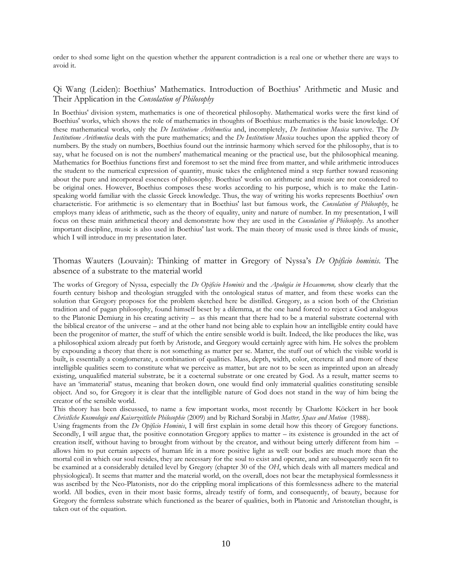order to shed some light on the question whether the apparent contradiction is a real one or whether there are ways to avoid it.

# Qi Wang (Leiden): Boethius' Mathematics. Introduction of Boethius' Arithmetic and Music and Their Application in the *Consolation of Philosophy*

In Boethius' division system, mathematics is one of theoretical philosophy. Mathematical works were the first kind of Boethius' works, which shows the role of mathematics in thoughts of Boethius: mathematics is the basic knowledge. Of these mathematical works, only the *De Institutione Arithmetica* and, incompletely, *De Institutione Musica* survive. The *De Institutione Arithmetica* deals with the pure mathematics; and the *De Institutione Musica* touches upon the applied theory of numbers. By the study on numbers, Boethius found out the intrinsic harmony which served for the philosophy, that is to say, what he focused on is not the numbers' mathematical meaning or the practical use, but the philosophical meaning. Mathematics for Boethius functions first and foremost to set the mind free from matter, and while arithmetic introduces the student to the numerical expression of quantity, music takes the enlightened mind a step further toward reasoning about the pure and incorporeal essences of philosophy. Boethius' works on arithmetic and music are not considered to be original ones. However, Boethius composes these works according to his purpose, which is to make the Latinspeaking world familiar with the classic Greek knowledge. Thus, the way of writing his works represents Boethius' own characteristic. For arithmetic is so elementary that in Boethius' last but famous work, the *Consolation of Philosophy*, he employs many ideas of arithmetic, such as the theory of equality, unity and nature of number. In my presentation, I will focus on these main arithmetical theory and demonstrate how they are used in the *Consolation of Philosophy*. As another important discipline, music is also used in Boethius' last work. The main theory of music used is three kinds of music, which I will introduce in my presentation later.

#### Thomas Wauters (Louvain): Thinking of matter in Gregory of Nyssa's *De Opificio hominis.* The absence of a substrate to the material world

The works of Gregory of Nyssa, especially the *De Opificio Hominis* and the *Apologia in Hexaemeron,* show clearly that the fourth century bishop and theologian struggled with the ontological status of matter, and from these works can the solution that Gregory proposes for the problem sketched here be distilled. Gregory, as a scion both of the Christian tradition and of pagan philosophy, found himself beset by a dilemma, at the one hand forced to reject a God analogous to the Platonic Demiurg in his creating activity – as this meant that there had to be a material substrate coeternal with the biblical creator of the universe – and at the other hand not being able to explain how an intelligible entity could have been the progenitor of matter, the stuff of which the entire sensible world is built. Indeed, the like produces the like, was a philosophical axiom already put forth by Aristotle, and Gregory would certainly agree with him. He solves the problem by expounding a theory that there is not something as matter per se. Matter, the stuff out of which the visible world is built, is essentially a conglomerate, a combination of qualities. Mass, depth, width, color, etcetera: all and more of these intelligible qualities seem to constitute what we perceive as matter, but are not to be seen as imprinted upon an already existing, unqualified material substrate, be it a coeternal substrate or one created by God. As a result, matter seems to have an 'immaterial' status, meaning that broken down, one would find only immaterial qualities constituting sensible object. And so, for Gregory it is clear that the intelligible nature of God does not stand in the way of him being the creator of the sensible world.

This theory has been discussed, to name a few important works, most recently by Charlotte Köckert in her book *Christliche Kosmologie und Kaiserzeitliche Philosophie* (2009) and by Richard Sorabji in *Matter, Space and Motion* (1988).

Using fragments from the *De Opificio Hominis*, I will first explain in some detail how this theory of Gregory functions. Secondly, I will argue that, the positive connotation Gregory applies to matter – its existence is grounded in the act of creation itself, without having to brought from without by the creator, and without being utterly different from him – allows him to put certain aspects of human life in a more positive light as well: our bodies are much more than the mortal coil in which our soul resides, they are necessary for the soul to exist and operate, and are subsequently seen fit to be examined at a considerably detailed level by Gregory (chapter 30 of the *OH*, which deals with all matters medical and physiological). It seems that matter and the material world, on the overall, does not bear the metaphysical formlessness it was ascribed by the Neo-Platonists, nor do the crippling moral implications of this formlessness adhere to the material world. All bodies, even in their most basic forms, already testify of form, and consequently, of beauty, because for Gregory the formless substrate which functioned as the bearer of qualities, both in Platonic and Aristotelian thought, is taken out of the equation.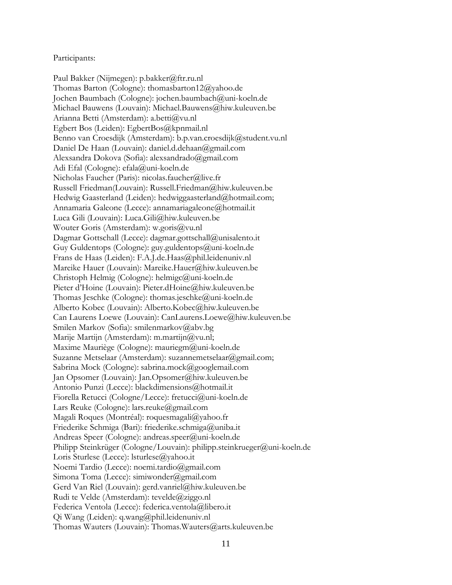#### Participants:

Paul Bakker (Nijmegen): p.bakker@ftr.ru.nl Thomas Barton (Cologne): thomasbarton12@yahoo.de Jochen Baumbach (Cologne): jochen.baumbach@uni-koeln.de Michael Bauwens (Louvain): Michael.Bauwens@hiw.kuleuven.be Arianna Betti (Amsterdam): a.betti@vu.nl Egbert Bos (Leiden): EgbertBos@kpnmail.nl Benno van Croesdijk (Amsterdam): b.p.van.croesdijk@student.vu.nl Daniel De Haan (Louvain): daniel.d.dehaan@gmail.com Alexsandra Dokova (Sofia): alexsandrado@gmail.com Adi Efal (Cologne): efala@uni-koeln.de Nicholas Faucher (Paris): nicolas.faucher@live.fr Russell Friedman(Louvain): Russell.Friedman@hiw.kuleuven.be Hedwig Gaasterland (Leiden): hedwiggaasterland@hotmail.com; Annamaria Galeone (Lecce): annamariagaleone@hotmail.it Luca Gili (Louvain): Luca.Gili@hiw.kuleuven.be Wouter Goris (Amsterdam): w.goris@vu.nl Dagmar Gottschall (Lecce): dagmar.gottschall@unisalento.it Guy Guldentops (Cologne): guy.guldentops@uni-koeln.de Frans de Haas (Leiden): F.A.J.de.Haas@phil.leidenuniv.nl Mareike Hauer (Louvain): Mareike.Hauer@hiw.kuleuven.be Christoph Helmig (Cologne): helmigc@uni-koeln.de Pieter d'Hoine (Louvain): Pieter.dHoine@hiw.kuleuven.be Thomas Jeschke (Cologne): thomas.jeschke@uni-koeln.de Alberto Kobec (Louvain): Alberto.Kobec@hiw.kuleuven.be Can Laurens Loewe (Louvain): CanLaurens.Loewe@hiw.kuleuven.be Smilen Markov (Sofia): smilenmarkov@abv.bg Marije Martijn (Amsterdam): m.martijn@vu.nl; Maxime Mauriège (Cologne): mauriegm@uni-koeln.de Suzanne Metselaar (Amsterdam): suzannemetselaar@gmail.com; Sabrina Mock (Cologne): sabrina.mock@googlemail.com Jan Opsomer (Louvain): Jan.Opsomer@hiw.kuleuven.be Antonio Punzi (Lecce): blackdimensions@hotmail.it Fiorella Retucci (Cologne/Lecce): fretucci@uni-koeln.de Lars Reuke (Cologne): lars.reuke@gmail.com Magali Roques (Montréal): roquesmagali@yahoo.fr Friederike Schmiga (Bari): friederike.schmiga@uniba.it Andreas Speer (Cologne): andreas.speer@uni-koeln.de Philipp Steinkrüger (Cologne/Louvain): philipp.steinkrueger@uni-koeln.de Loris Sturlese (Lecce): lsturlese@yahoo.it Noemi Tardio (Lecce): noemi.tardio@gmail.com Simona Toma (Lecce): simiwonder@gmail.com Gerd Van Riel (Louvain): gerd.vanriel@hiw.kuleuven.be Rudi te Velde (Amsterdam): tevelde@ziggo.nl Federica Ventola (Lecce): federica.ventola@libero.it Qi Wang (Leiden): q.wang@phil.leidenuniv.nl Thomas Wauters (Louvain): Thomas.Wauters@arts.kuleuven.be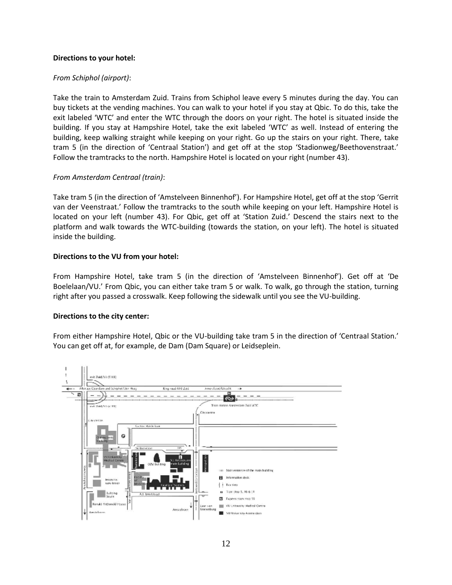# **Directions to your hotel:**

# *From Schiphol (airport)*:

Take the train to Amsterdam Zuid. Trains from Schiphol leave every 5 minutes during the day. You can buy tickets at the vending machines. You can walk to your hotel if you stay at Qbic. To do this, take the exit labeled 'WTC' and enter the WTC through the doors on your right. The hotel is situated inside the building. If you stay at Hampshire Hotel, take the exit labeled 'WTC' as well. Instead of entering the building, keep walking straight while keeping on your right. Go up the stairs on your right. There, take tram 5 (in the direction of 'Centraal Station') and get off at the stop 'Stadionweg/Beethovenstraat.' Follow the tramtracks to the north. Hampshire Hotel is located on your right (number 43).

# *From Amsterdam Centraal (train)*:

Take tram 5 (in the direction of 'Amstelveen Binnenhof'). For Hampshire Hotel, get off at the stop 'Gerrit van der Veenstraat.' Follow the tramtracks to the south while keeping on your left. Hampshire Hotel is located on your left (number 43). For Qbic, get off at 'Station Zuid.' Descend the stairs next to the platform and walk towards the WTC-building (towards the station, on your left). The hotel is situated inside the building.

#### **Directions to the VU from your hotel:**

From Hampshire Hotel, take tram 5 (in the direction of 'Amstelveen Binnenhof'). Get off at 'De Boelelaan/VU.' From Qbic, you can either take tram 5 or walk. To walk, go through the station, turning right after you passed a crosswalk. Keep following the sidewalk until you see the VU-building.

#### **Directions to the city center:**

From either Hampshire Hotel, Qbic or the VU-building take tram 5 in the direction of 'Centraal Station.' You can get off at, for example, de Dam (Dam Square) or Leidseplein.